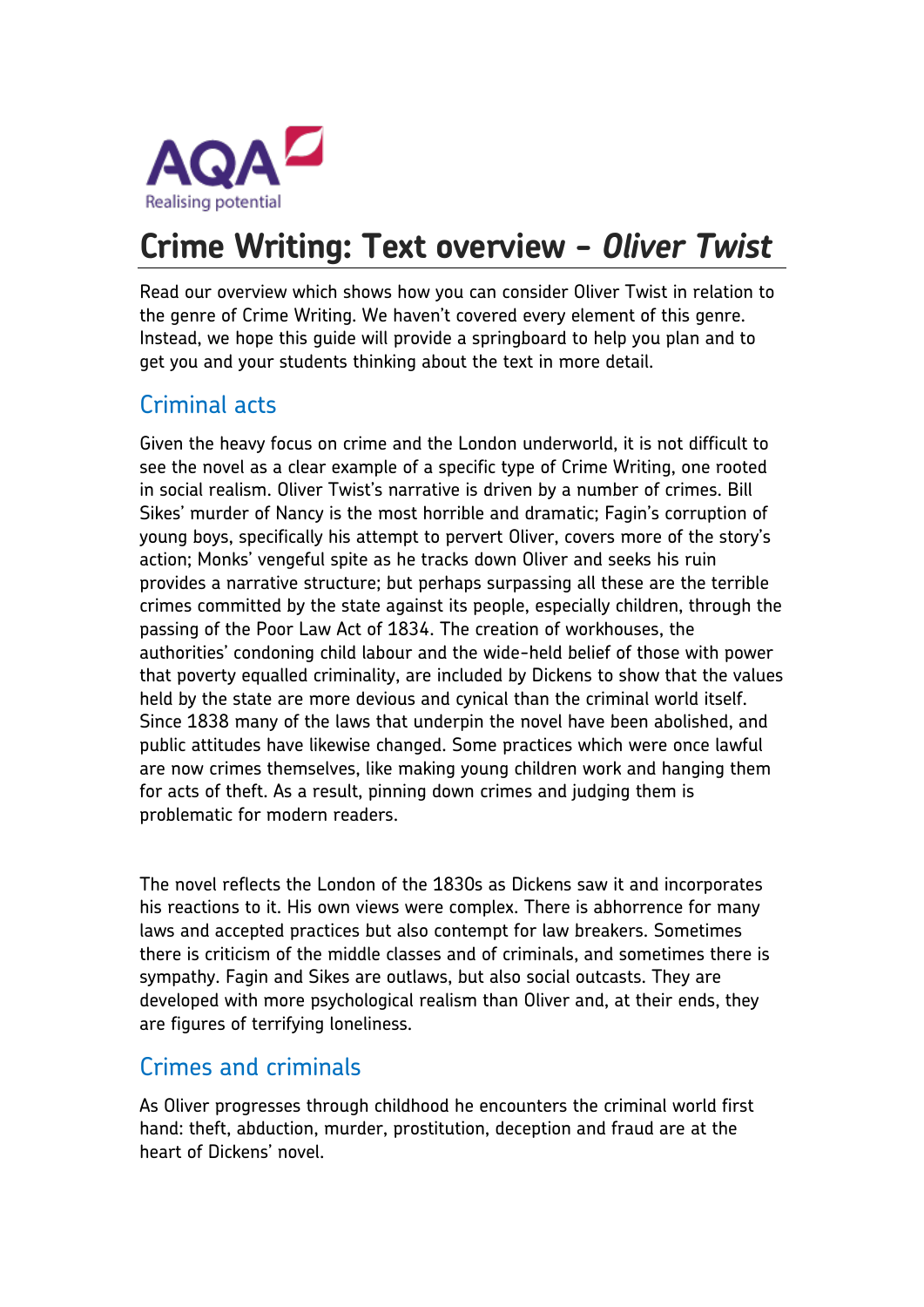

# **Crime Writing: Text overview -** *Oliver Twist*

Read our overview which shows how you can consider Oliver Twist in relation to the genre of Crime Writing. We haven't covered every element of this genre. Instead, we hope this guide will provide a springboard to help you plan and to get you and your students thinking about the text in more detail.

## Criminal acts

Given the heavy focus on crime and the London underworld, it is not difficult to see the novel as a clear example of a specific type of Crime Writing, one rooted in social realism. Oliver Twist's narrative is driven by a number of crimes. Bill Sikes' murder of Nancy is the most horrible and dramatic; Fagin's corruption of young boys, specifically his attempt to pervert Oliver, covers more of the story's action; Monks' vengeful spite as he tracks down Oliver and seeks his ruin provides a narrative structure; but perhaps surpassing all these are the terrible crimes committed by the state against its people, especially children, through the passing of the Poor Law Act of 1834. The creation of workhouses, the authorities' condoning child labour and the wide-held belief of those with power that poverty equalled criminality, are included by Dickens to show that the values held by the state are more devious and cynical than the criminal world itself. Since 1838 many of the laws that underpin the novel have been abolished, and public attitudes have likewise changed. Some practices which were once lawful are now crimes themselves, like making young children work and hanging them for acts of theft. As a result, pinning down crimes and judging them is problematic for modern readers.

The novel reflects the London of the 1830s as Dickens saw it and incorporates his reactions to it. His own views were complex. There is abhorrence for many laws and accepted practices but also contempt for law breakers. Sometimes there is criticism of the middle classes and of criminals, and sometimes there is sympathy. Fagin and Sikes are outlaws, but also social outcasts. They are developed with more psychological realism than Oliver and, at their ends, they are figures of terrifying loneliness.

#### Crimes and criminals

As Oliver progresses through childhood he encounters the criminal world first hand: theft, abduction, murder, prostitution, deception and fraud are at the heart of Dickens' novel.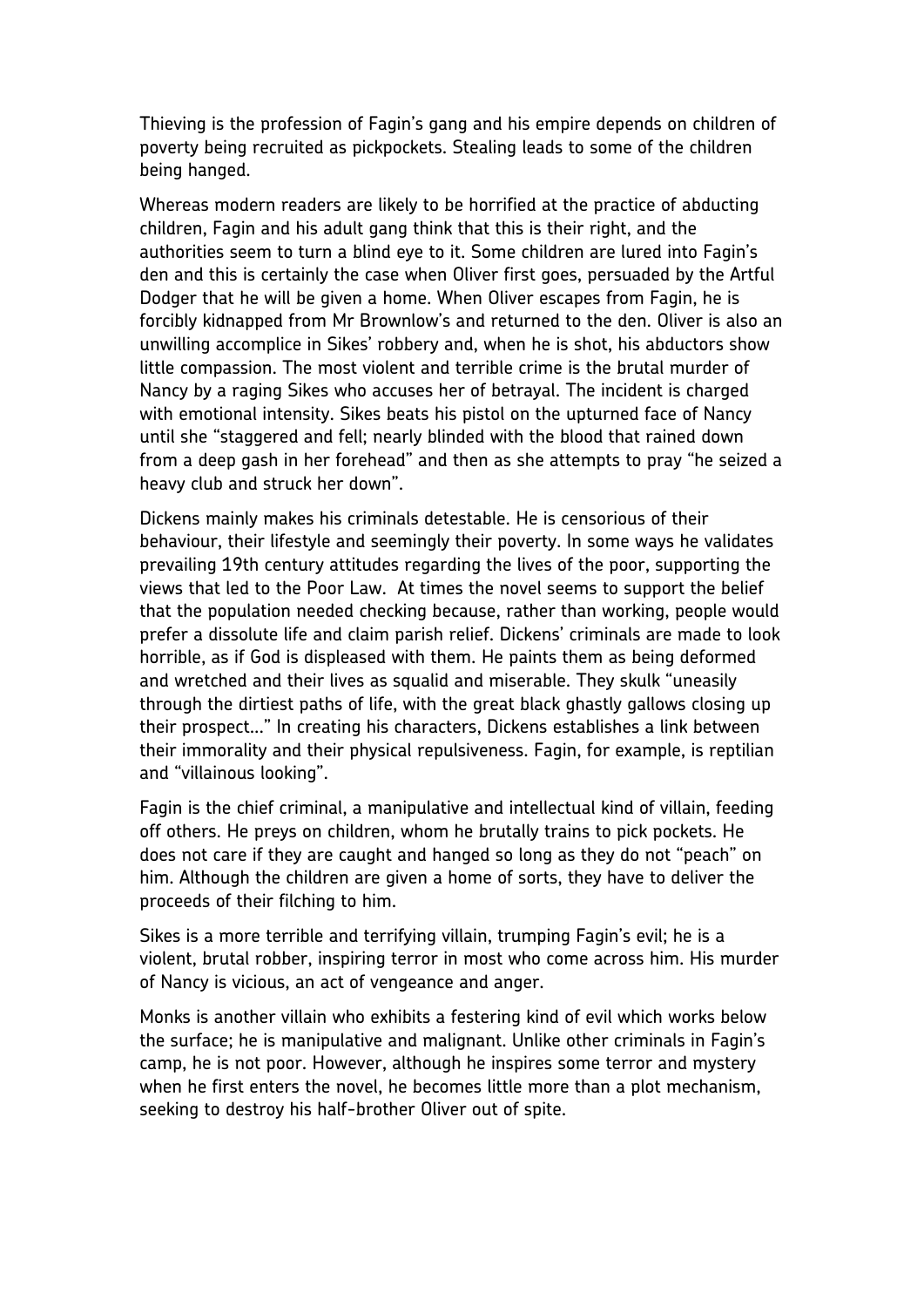Thieving is the profession of Fagin's gang and his empire depends on children of poverty being recruited as pickpockets. Stealing leads to some of the children being hanged.

Whereas modern readers are likely to be horrified at the practice of abducting children, Fagin and his adult gang think that this is their right, and the authorities seem to turn a blind eye to it. Some children are lured into Fagin's den and this is certainly the case when Oliver first goes, persuaded by the Artful Dodger that he will be given a home. When Oliver escapes from Fagin, he is forcibly kidnapped from Mr Brownlow's and returned to the den. Oliver is also an unwilling accomplice in Sikes' robbery and, when he is shot, his abductors show little compassion. The most violent and terrible crime is the brutal murder of Nancy by a raging Sikes who accuses her of betrayal. The incident is charged with emotional intensity. Sikes beats his pistol on the upturned face of Nancy until she "staggered and fell; nearly blinded with the blood that rained down from a deep gash in her forehead" and then as she attempts to pray "he seized a heavy club and struck her down".

Dickens mainly makes his criminals detestable. He is censorious of their behaviour, their lifestyle and seemingly their poverty. In some ways he validates prevailing 19th century attitudes regarding the lives of the poor, supporting the views that led to the Poor Law. At times the novel seems to support the belief that the population needed checking because, rather than working, people would prefer a dissolute life and claim parish relief. Dickens' criminals are made to look horrible, as if God is displeased with them. He paints them as being deformed and wretched and their lives as squalid and miserable. They skulk "uneasily through the dirtiest paths of life, with the great black ghastly gallows closing up their prospect..." In creating his characters, Dickens establishes a link between their immorality and their physical repulsiveness. Fagin, for example, is reptilian and "villainous looking".

Fagin is the chief criminal, a manipulative and intellectual kind of villain, feeding off others. He preys on children, whom he brutally trains to pick pockets. He does not care if they are caught and hanged so long as they do not "peach" on him. Although the children are given a home of sorts, they have to deliver the proceeds of their filching to him.

Sikes is a more terrible and terrifying villain, trumping Fagin's evil; he is a violent, brutal robber, inspiring terror in most who come across him. His murder of Nancy is vicious, an act of vengeance and anger.

Monks is another villain who exhibits a festering kind of evil which works below the surface; he is manipulative and malignant. Unlike other criminals in Fagin's camp, he is not poor. However, although he inspires some terror and mystery when he first enters the novel, he becomes little more than a plot mechanism, seeking to destroy his half-brother Oliver out of spite.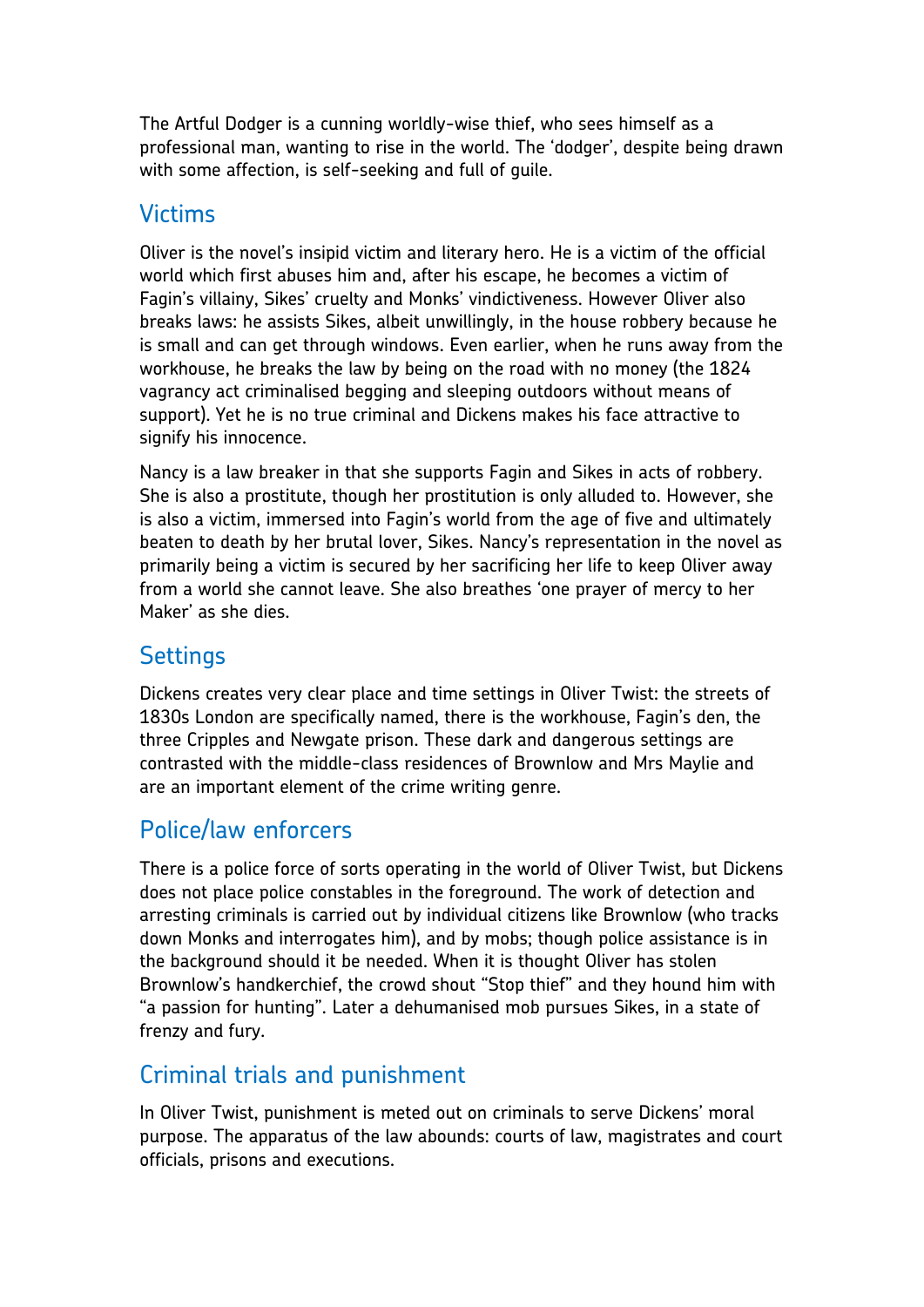The Artful Dodger is a cunning worldly-wise thief, who sees himself as a professional man, wanting to rise in the world. The 'dodger', despite being drawn with some affection, is self-seeking and full of guile.

### Victims

Oliver is the novel's insipid victim and literary hero. He is a victim of the official world which first abuses him and, after his escape, he becomes a victim of Fagin's villainy, Sikes' cruelty and Monks' vindictiveness. However Oliver also breaks laws: he assists Sikes, albeit unwillingly, in the house robbery because he is small and can get through windows. Even earlier, when he runs away from the workhouse, he breaks the law by being on the road with no money (the 1824 vagrancy act criminalised begging and sleeping outdoors without means of support). Yet he is no true criminal and Dickens makes his face attractive to signify his innocence.

Nancy is a law breaker in that she supports Fagin and Sikes in acts of robbery. She is also a prostitute, though her prostitution is only alluded to. However, she is also a victim, immersed into Fagin's world from the age of five and ultimately beaten to death by her brutal lover, Sikes. Nancy's representation in the novel as primarily being a victim is secured by her sacrificing her life to keep Oliver away from a world she cannot leave. She also breathes 'one prayer of mercy to her Maker' as she dies.

## **Settings**

Dickens creates very clear place and time settings in Oliver Twist: the streets of 1830s London are specifically named, there is the workhouse, Fagin's den, the three Cripples and Newgate prison. These dark and dangerous settings are contrasted with the middle-class residences of Brownlow and Mrs Maylie and are an important element of the crime writing genre.

# Police/law enforcers

There is a police force of sorts operating in the world of Oliver Twist, but Dickens does not place police constables in the foreground. The work of detection and arresting criminals is carried out by individual citizens like Brownlow (who tracks down Monks and interrogates him), and by mobs; though police assistance is in the background should it be needed. When it is thought Oliver has stolen Brownlow's handkerchief, the crowd shout "Stop thief" and they hound him with "a passion for hunting". Later a dehumanised mob pursues Sikes, in a state of frenzy and fury.

# Criminal trials and punishment

In Oliver Twist, punishment is meted out on criminals to serve Dickens' moral purpose. The apparatus of the law abounds: courts of law, magistrates and court officials, prisons and executions.